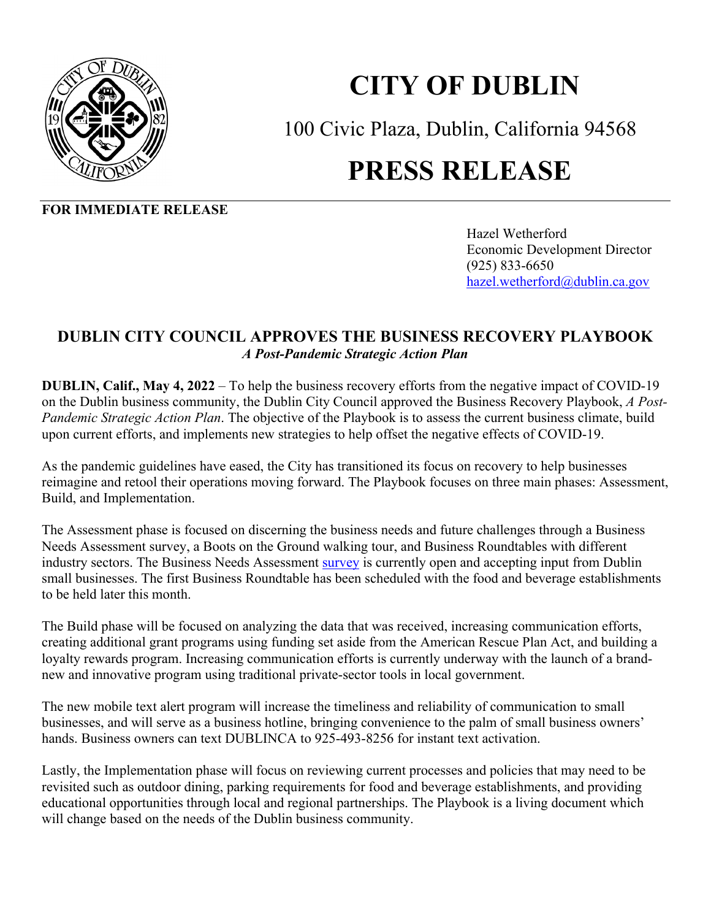

## **CITY OF DUBLIN**

100 Civic Plaza, Dublin, California 94568

## **PRESS RELEASE**

**FOR IMMEDIATE RELEASE** 

Hazel Wetherford Economic Development Director (925) 833-6650 hazel.wetherford@dublin.ca.gov

## **DUBLIN CITY COUNCIL APPROVES THE BUSINESS RECOVERY PLAYBOOK**  *A Post-Pandemic Strategic Action Plan*

**DUBLIN, Calif., May 4, 2022** – To help the business recovery efforts from the negative impact of COVID-19 on the Dublin business community, the Dublin City Council approved the Business Recovery Playbook, *A Post-Pandemic Strategic Action Plan*. The objective of the Playbook is to assess the current business climate, build upon current efforts, and implements new strategies to help offset the negative effects of COVID-19.

As the pandemic guidelines have eased, the City has transitioned its focus on recovery to help businesses reimagine and retool their operations moving forward. The Playbook focuses on three main phases: Assessment, Build, and Implementation.

The Assessment phase is focused on discerning the business needs and future challenges through a Business Needs Assessment survey, a Boots on the Ground walking tour, and Business Roundtables with different industry sectors. The Business Needs Assessment [survey](https://www.surveymonkey.com/r/SY5RRF9) is currently open and accepting input from Dublin small businesses. The first Business Roundtable has been scheduled with the food and beverage establishments to be held later this month.

The Build phase will be focused on analyzing the data that was received, increasing communication efforts, creating additional grant programs using funding set aside from the American Rescue Plan Act, and building a loyalty rewards program. Increasing communication efforts is currently underway with the launch of a brandnew and innovative program using traditional private-sector tools in local government.

The new mobile text alert program will increase the timeliness and reliability of communication to small businesses, and will serve as a business hotline, bringing convenience to the palm of small business owners' hands. Business owners can text DUBLINCA to 925-493-8256 for instant text activation.

Lastly, the Implementation phase will focus on reviewing current processes and policies that may need to be revisited such as outdoor dining, parking requirements for food and beverage establishments, and providing educational opportunities through local and regional partnerships. The Playbook is a living document which will change based on the needs of the Dublin business community.